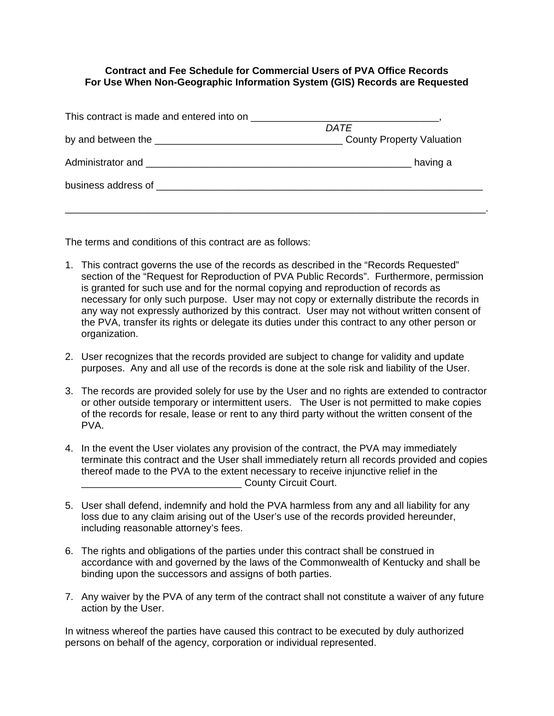## **Contract and Fee Schedule for Commercial Users of PVA Office Records For Use When Non-Geographic Information System (GIS) Records are Requested**

| DATE     |
|----------|
|          |
| having a |
|          |

The terms and conditions of this contract are as follows:

- 1. This contract governs the use of the records as described in the "Records Requested" section of the "Request for Reproduction of PVA Public Records". Furthermore, permission is granted for such use and for the normal copying and reproduction of records as necessary for only such purpose. User may not copy or externally distribute the records in any way not expressly authorized by this contract. User may not without written consent of the PVA, transfer its rights or delegate its duties under this contract to any other person or organization.
- 2. User recognizes that the records provided are subject to change for validity and update purposes. Any and all use of the records is done at the sole risk and liability of the User.
- 3. The records are provided solely for use by the User and no rights are extended to contractor or other outside temporary or intermittent users. The User is not permitted to make copies of the records for resale, lease or rent to any third party without the written consent of the PVA.
- 4. In the event the User violates any provision of the contract, the PVA may immediately terminate this contract and the User shall immediately return all records provided and copies thereof made to the PVA to the extent necessary to receive injunctive relief in the \_\_\_\_\_\_\_\_\_\_\_\_\_\_\_\_\_\_\_\_\_\_\_\_\_\_\_\_\_ County Circuit Court.
- 5. User shall defend, indemnify and hold the PVA harmless from any and all liability for any loss due to any claim arising out of the User's use of the records provided hereunder, including reasonable attorney's fees.
- 6. The rights and obligations of the parties under this contract shall be construed in accordance with and governed by the laws of the Commonwealth of Kentucky and shall be binding upon the successors and assigns of both parties.
- 7. Any waiver by the PVA of any term of the contract shall not constitute a waiver of any future action by the User.

In witness whereof the parties have caused this contract to be executed by duly authorized persons on behalf of the agency, corporation or individual represented.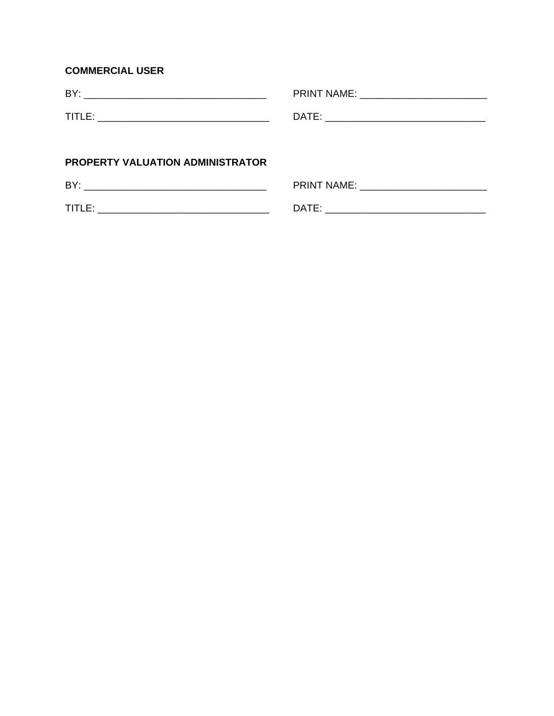## **COMMERCIAL USER**

| <b>PROPERTY VALUATION ADMINISTRATOR</b> |                                       |
|-----------------------------------------|---------------------------------------|
|                                         | PRINT NAME: _________________________ |
|                                         |                                       |

| ___ | <br>___ |
|-----|---------|
|     |         |